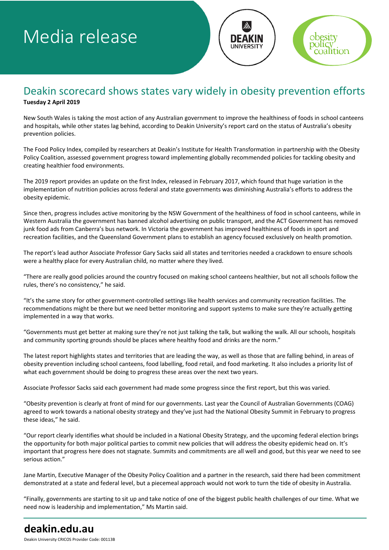# Media release



### Deakin scorecard shows states vary widely in obesity prevention efforts **Tuesday 2 April 2019**

New South Wales is taking the most action of any Australian government to improve the healthiness of foods in school canteens and hospitals, while other states lag behind, according to Deakin University's report card on the status of Australia's obesity prevention policies.

The Food Policy Index, compiled by researchers at Deakin's Institute for Health Transformation in partnership with the Obesity Policy Coalition, assessed government progress toward implementing globally recommended policies for tackling obesity and creating healthier food environments.

The 2019 report provides an update on the first Index, released in February 2017, which found that huge variation in the implementation of nutrition policies across federal and state governments was diminishing Australia's efforts to address the obesity epidemic.

Since then, progress includes active monitoring by the NSW Government of the healthiness of food in school canteens, while in Western Australia the government has banned alcohol advertising on public transport, and the ACT Government has removed junk food ads from Canberra's bus network. In Victoria the government has improved healthiness of foods in sport and recreation facilities, and the Queensland Government plans to establish an agency focused exclusively on health promotion.

The report's lead author Associate Professor Gary Sacks said all states and territories needed a crackdown to ensure schools were a healthy place for every Australian child, no matter where they lived.

"There are really good policies around the country focused on making school canteens healthier, but not all schools follow the rules, there's no consistency," he said.

"It's the same story for other government-controlled settings like health services and community recreation facilities. The recommendations might be there but we need better monitoring and support systems to make sure they're actually getting implemented in a way that works.

"Governments must get better at making sure they're not just talking the talk, but walking the walk. All our schools, hospitals and community sporting grounds should be places where healthy food and drinks are the norm."

The latest report highlights states and territories that are leading the way, as well as those that are falling behind, in areas of obesity prevention including school canteens, food labelling, food retail, and food marketing. It also includes a priority list of what each government should be doing to progress these areas over the next two years.

Associate Professor Sacks said each government had made some progress since the first report, but this was varied.

"Obesity prevention is clearly at front of mind for our governments. Last year the Council of Australian Governments (COAG) agreed to work towards a national obesity strategy and they've just had the National Obesity Summit in February to progress these ideas," he said.

"Our report clearly identifies what should be included in a National Obesity Strategy, and the upcoming federal election brings the opportunity for both major political parties to commit new policies that will address the obesity epidemic head on. It's important that progress here does not stagnate. Summits and commitments are all well and good, but this year we need to see serious action."

Jane Martin, Executive Manager of the Obesity Policy Coalition and a partner in the research, said there had been commitment demonstrated at a state and federal level, but a piecemeal approach would not work to turn the tide of obesity in Australia.

"Finally, governments are starting to sit up and take notice of one of the biggest public health challenges of our time. What we need now is leadership and implementation," Ms Martin said.

## **deakin.edu.au**

Deakin University CRICOS Provider Code: 00113B